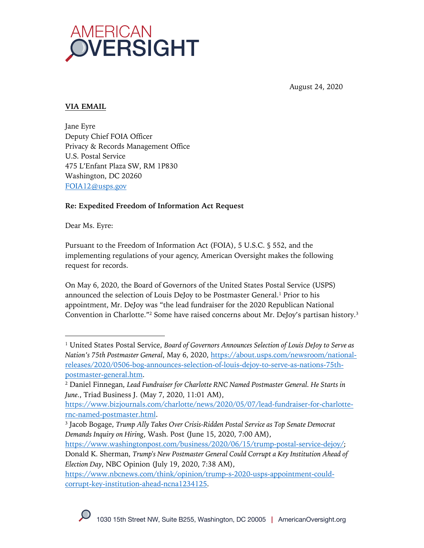

August 24, 2020

# **VIA EMAIL**

Jane Eyre Deputy Chief FOIA Officer Privacy & Records Management Office U.S. Postal Service 475 L'Enfant Plaza SW, RM 1P830 Washington, DC 20260 FOIA12@usps.gov

# **Re: Expedited Freedom of Information Act Request**

Dear Ms. Eyre:

Pursuant to the Freedom of Information Act (FOIA), 5 U.S.C. § 552, and the implementing regulations of your agency, American Oversight makes the following request for records.

On May 6, 2020, the Board of Governors of the United States Postal Service (USPS) announced the selection of Louis DeJoy to be Postmaster General.<sup>1</sup> Prior to his appointment, Mr. DeJoy was "the lead fundraiser for the 2020 Republican National Convention in Charlotte."2 Some have raised concerns about Mr. DeJoy's partisan history.3

<sup>1</sup> United States Postal Service, *Board of Governors Announces Selection of Louis DeJoy to Serve as Nation's 75th Postmaster General*, May 6, 2020, https://about.usps.com/newsroom/nationalreleases/2020/0506-bog-announces-selection-of-louis-dejoy-to-serve-as-nations-75thpostmaster-general.htm.

<sup>2</sup> Daniel Finnegan, *Lead Fundraiser for Charlotte RNC Named Postmaster General. He Starts in June.*, Triad Business J. (May 7, 2020, 11:01 AM),

https://www.bizjournals.com/charlotte/news/2020/05/07/lead-fundraiser-for-charlotternc-named-postmaster.html.

<sup>3</sup> Jacob Bogage, *Trump Ally Takes Over Crisis-Ridden Postal Service as Top Senate Democrat Demands Inquiry on Hiring*, Wash. Post (June 15, 2020, 7:00 AM),

https://www.washingtonpost.com/business/2020/06/15/trump-postal-service-dejoy/; Donald K. Sherman, *Trump's New Postmaster General Could Corrupt a Key Institution Ahead of Election Day*, NBC Opinion (July 19, 2020, 7:38 AM),

https://www.nbcnews.com/think/opinion/trump-s-2020-usps-appointment-couldcorrupt-key-institution-ahead-ncna1234125.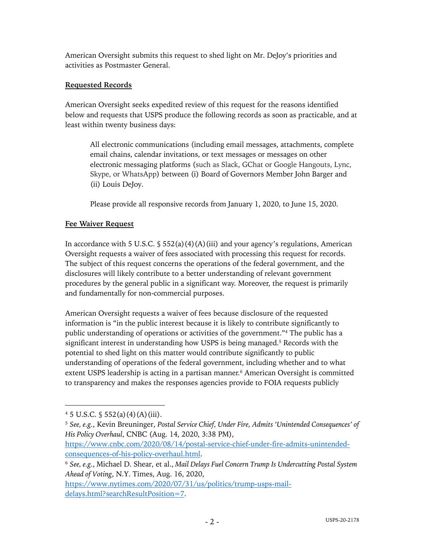American Oversight submits this request to shed light on Mr. DeJoy's priorities and activities as Postmaster General.

# **Requested Records**

American Oversight seeks expedited review of this request for the reasons identified below and requests that USPS produce the following records as soon as practicable, and at least within twenty business days:

All electronic communications (including email messages, attachments, complete email chains, calendar invitations, or text messages or messages on other electronic messaging platforms (such as Slack, GChat or Google Hangouts, Lync, Skype, or WhatsApp) between (i) Board of Governors Member John Barger and (ii) Louis DeJoy.

Please provide all responsive records from January 1, 2020, to June 15, 2020.

# **Fee Waiver Request**

In accordance with 5 U.S.C.  $\S$  552(a)(4)(A)(iii) and your agency's regulations, American Oversight requests a waiver of fees associated with processing this request for records. The subject of this request concerns the operations of the federal government, and the disclosures will likely contribute to a better understanding of relevant government procedures by the general public in a significant way. Moreover, the request is primarily and fundamentally for non-commercial purposes.

American Oversight requests a waiver of fees because disclosure of the requested information is "in the public interest because it is likely to contribute significantly to public understanding of operations or activities of the government."4 The public has a significant interest in understanding how USPS is being managed. <sup>5</sup> Records with the potential to shed light on this matter would contribute significantly to public understanding of operations of the federal government, including whether and to what extent USPS leadership is acting in a partisan manner. <sup>6</sup> American Oversight is committed to transparency and makes the responses agencies provide to FOIA requests publicly

 $4\,5\,$  U.S.C.  $\frac{6}{3}\,552(a)(4)(A)(iii)$ .

<sup>5</sup> *See, e.g.*, Kevin Breuninger, *Postal Service Chief, Under Fire, Admits 'Unintended Consequences' of His Policy Overhaul*, CNBC (Aug. 14, 2020, 3:38 PM),

https://www.cnbc.com/2020/08/14/postal-service-chief-under-fire-admits-unintendedconsequences-of-his-policy-overhaul.html.

<sup>6</sup> *See, e.g.*, Michael D. Shear, et al., *Mail Delays Fuel Concern Trump Is Undercutting Postal System Ahead of Voting*, N.Y. Times, Aug. 16, 2020,

https://www.nytimes.com/2020/07/31/us/politics/trump-usps-maildelays.html?searchResultPosition=7.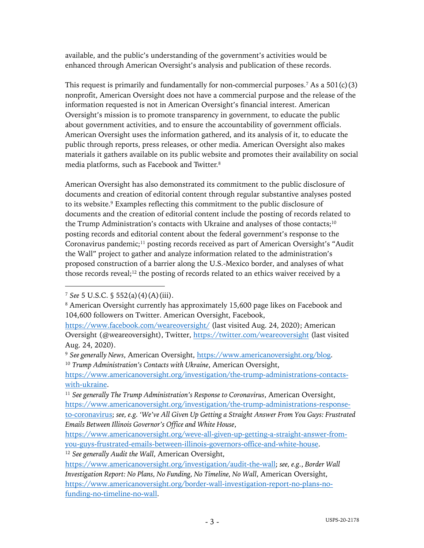available, and the public's understanding of the government's activities would be enhanced through American Oversight's analysis and publication of these records.

This request is primarily and fundamentally for non-commercial purposes.<sup>7</sup> As a  $501(c)(3)$ nonprofit, American Oversight does not have a commercial purpose and the release of the information requested is not in American Oversight's financial interest. American Oversight's mission is to promote transparency in government, to educate the public about government activities, and to ensure the accountability of government officials. American Oversight uses the information gathered, and its analysis of it, to educate the public through reports, press releases, or other media. American Oversight also makes materials it gathers available on its public website and promotes their availability on social media platforms, such as Facebook and Twitter.8

American Oversight has also demonstrated its commitment to the public disclosure of documents and creation of editorial content through regular substantive analyses posted to its website.9 Examples reflecting this commitment to the public disclosure of documents and the creation of editorial content include the posting of records related to the Trump Administration's contacts with Ukraine and analyses of those contacts;<sup>10</sup> posting records and editorial content about the federal government's response to the Coronavirus pandemic;11 posting records received as part of American Oversight's "Audit the Wall" project to gather and analyze information related to the administration's proposed construction of a barrier along the U.S.-Mexico border, and analyses of what those records reveal;<sup>12</sup> the posting of records related to an ethics waiver received by a

<sup>12</sup> *See generally Audit the Wall*, American Oversight,

<sup>7</sup> *See* 5 U.S.C. § 552(a)(4)(A)(iii).

<sup>8</sup> American Oversight currently has approximately 15,600 page likes on Facebook and 104,600 followers on Twitter. American Oversight, Facebook,

https://www.facebook.com/weareoversight/ (last visited Aug. 24, 2020); American Oversight (@weareoversight), Twitter, https://twitter.com/weareoversight (last visited Aug. 24, 2020).

<sup>9</sup> *See generally News*, American Oversight, https://www.americanoversight.org/blog. <sup>10</sup> *Trump Administration's Contacts with Ukraine*, American Oversight,

https://www.americanoversight.org/investigation/the-trump-administrations-contactswith-ukraine.

<sup>11</sup> *See generally The Trump Administration's Response to Coronavirus*, American Oversight, https://www.americanoversight.org/investigation/the-trump-administrations-responseto-coronavirus; *see, e.g. 'We've All Given Up Getting a Straight Answer From You Guys: Frustrated Emails Between Illinois Governor's Office and White House*,

https://www.americanoversight.org/weve-all-given-up-getting-a-straight-answer-fromyou-guys-frustrated-emails-between-illinois-governors-office-and-white-house.

https://www.americanoversight.org/investigation/audit-the-wall; *see, e.g.*, *Border Wall Investigation Report: No Plans, No Funding, No Timeline, No Wall*, American Oversight, https://www.americanoversight.org/border-wall-investigation-report-no-plans-nofunding-no-timeline-no-wall.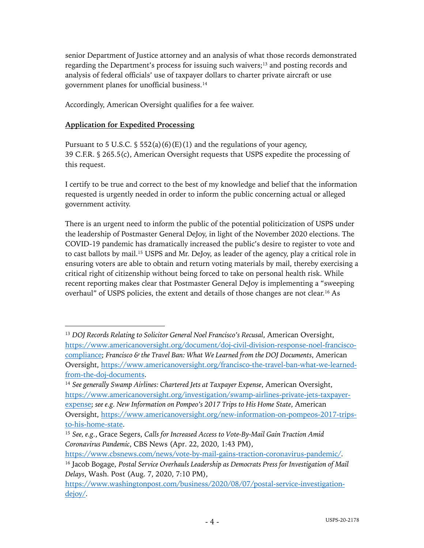senior Department of Justice attorney and an analysis of what those records demonstrated regarding the Department's process for issuing such waivers;<sup>13</sup> and posting records and analysis of federal officials' use of taxpayer dollars to charter private aircraft or use government planes for unofficial business.14

Accordingly, American Oversight qualifies for a fee waiver.

# **Application for Expedited Processing**

Pursuant to 5 U.S.C.  $\frac{1}{5}$  552(a)(6)(E)(1) and the regulations of your agency, 39 C.F.R. § 265.5(c), American Oversight requests that USPS expedite the processing of this request.

I certify to be true and correct to the best of my knowledge and belief that the information requested is urgently needed in order to inform the public concerning actual or alleged government activity.

There is an urgent need to inform the public of the potential politicization of USPS under the leadership of Postmaster General DeJoy, in light of the November 2020 elections. The COVID-19 pandemic has dramatically increased the public's desire to register to vote and to cast ballots by mail.15 USPS and Mr. DeJoy, as leader of the agency, play a critical role in ensuring voters are able to obtain and return voting materials by mail, thereby exercising a critical right of citizenship without being forced to take on personal health risk. While recent reporting makes clear that Postmaster General DeJoy is implementing a "sweeping overhaul" of USPS policies, the extent and details of those changes are not clear.16 As

<sup>&</sup>lt;sup>13</sup> *DOJ Records Relating to Solicitor General Noel Francisco's Recusal, American Oversight,* https://www.americanoversight.org/document/doj-civil-division-response-noel-franciscocompliance; *Francisco & the Travel Ban: What We Learned from the DOJ Documents*, American Oversight, https://www.americanoversight.org/francisco-the-travel-ban-what-we-learnedfrom-the-doj-documents.

<sup>14</sup> *See generally Swamp Airlines: Chartered Jets at Taxpayer Expense*, American Oversight, https://www.americanoversight.org/investigation/swamp-airlines-private-jets-taxpayerexpense; *see e.g. New Information on Pompeo's 2017 Trips to His Home State*, American Oversight, https://www.americanoversight.org/new-information-on-pompeos-2017-tripsto-his-home-state.

<sup>15</sup> *See, e.g.*, Grace Segers, *Calls for Increased Access to Vote-By-Mail Gain Traction Amid Coronavirus Pandemic*, CBS News (Apr. 22, 2020, 1:43 PM),

https://www.cbsnews.com/news/vote-by-mail-gains-traction-coronavirus-pandemic/. <sup>16</sup> Jacob Bogage, *Postal Service Overhauls Leadership as Democrats Press for Investigation of Mail* 

*Delays*, Wash. Post (Aug. 7, 2020, 7:10 PM), https://www.washingtonpost.com/business/2020/08/07/postal-service-investigationdejoy/.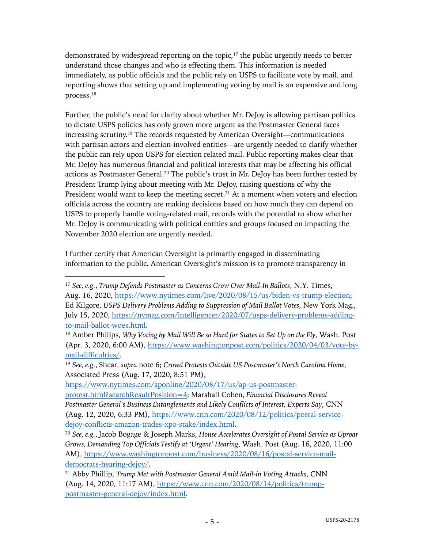demonstrated by widespread reporting on the topic, $17$  the public urgently needs to better understand those changes and who is effecting them. This information is needed immediately, as public officials and the public rely on USPS to facilitate vote by mail, and reporting shows that setting up and implementing voting by mail is an expensive and long process.18

Further, the public's need for clarity about whether Mr. DeJoy is allowing partisan politics to dictate USPS policies has only grown more urgent as the Postmaster General faces increasing scrutiny. <sup>19</sup> The records requested by American Oversight—communications with partisan actors and election-involved entities—are urgently needed to clarify whether the public can rely upon USPS for election related mail. Public reporting makes clear that Mr. DeJoy has numerous financial and political interests that may be affecting his official actions as Postmaster General.20 The public's trust in Mr. DeJoy has been further tested by President Trump lying about meeting with Mr. DeJoy, raising questions of why the President would want to keep the meeting secret.<sup>21</sup> At a moment when voters and election officials across the country are making decisions based on how much they can depend on USPS to properly handle voting-related mail, records with the potential to show whether Mr. DeJoy is communicating with political entities and groups focused on impacting the November 2020 election are urgently needed.

I further certify that American Oversight is primarily engaged in disseminating information to the public. American Oversight's mission is to promote transparency in

https://www.nytimes.com/aponline/2020/08/17/us/ap-us-postmaster-

<sup>17</sup> *See, e.g.*, *Trump Defends Postmaster as Concerns Grow Over Mail-In Ballots*, N.Y. Times,

Aug. 16, 2020, https://www.nytimes.com/live/2020/08/15/us/biden-vs-trump-election; Ed Kilgore, *USPS Delivery Problems Adding to Suppression of Mail Ballot Votes*, New York Mag., July 15, 2020, https://nymag.com/intelligencer/2020/07/usps-delivery-problems-addingto-mail-ballot-woes.html.

<sup>18</sup> Amber Philips, *Why Voting by Mail Will Be so Hard for States to Set Up on the Fly*, Wash. Post (Apr. 3, 2020, 6:00 AM), https://www.washingtonpost.com/politics/2020/04/03/vote-bymail-difficulties/.

<sup>19</sup> *See, e.g.*, Shear, *supra* note 6; *Crowd Protests Outside US Postmaster's North Carolina Home*, Associated Press (Aug. 17, 2020, 8:51 PM),

protest.html?searchResultPosition=4; Marshall Cohen, *Financial Disclosures Reveal Postmaster General's Business Entanglements and Likely Conflicts of Interest, Experts Say*, CNN (Aug. 12, 2020, 6:33 PM), https://www.cnn.com/2020/08/12/politics/postal-servicedejoy-conflicts-amazon-trades-xpo-stake/index.html.

<sup>20</sup> *See, e.g.*, Jacob Bogage & Joseph Marks, *House Accelerates Oversight of Postal Service as Uproar Grows, Demanding Top Officials Testify at 'Urgent' Hearing*, Wash. Post (Aug. 16, 2020, 11:00 AM), https://www.washingtonpost.com/business/2020/08/16/postal-service-maildemocrats-hearing-dejoy/.

<sup>21</sup> Abby Phillip, *Trump Met with Postmaster General Amid Mail-in Voting Attacks*, CNN (Aug. 14, 2020, 11:17 AM), https://www.cnn.com/2020/08/14/politics/trumppostmaster-general-dejoy/index.html.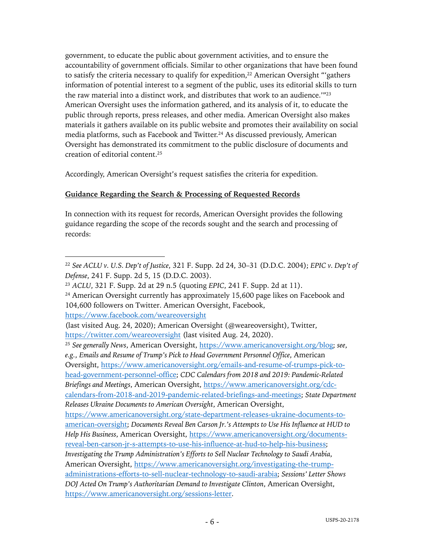government, to educate the public about government activities, and to ensure the accountability of government officials. Similar to other organizations that have been found to satisfy the criteria necessary to qualify for expedition,<sup>22</sup> American Oversight "'gathers information of potential interest to a segment of the public, uses its editorial skills to turn the raw material into a distinct work, and distributes that work to an audience.'"23 American Oversight uses the information gathered, and its analysis of it, to educate the public through reports, press releases, and other media. American Oversight also makes materials it gathers available on its public website and promotes their availability on social media platforms, such as Facebook and Twitter.24 As discussed previously, American Oversight has demonstrated its commitment to the public disclosure of documents and creation of editorial content.25

Accordingly, American Oversight's request satisfies the criteria for expedition.

# **Guidance Regarding the Search & Processing of Requested Records**

In connection with its request for records, American Oversight provides the following guidance regarding the scope of the records sought and the search and processing of records:

https://www.facebook.com/weareoversight

<sup>22</sup> *See ACLU v. U.S. Dep't of Justice*, 321 F. Supp. 2d 24, 30–31 (D.D.C. 2004); *EPIC v. Dep't of Defense*, 241 F. Supp. 2d 5, 15 (D.D.C. 2003).

<sup>23</sup> *ACLU*, 321 F. Supp. 2d at 29 n.5 (quoting *EPIC*, 241 F. Supp. 2d at 11).

 $24$  American Oversight currently has approximately 15,600 page likes on Facebook and 104,600 followers on Twitter. American Oversight, Facebook,

<sup>(</sup>last visited Aug. 24, 2020); American Oversight (@weareoversight), Twitter, https://twitter.com/weareoversight (last visited Aug. 24, 2020).

<sup>25</sup> *See generally News*, American Oversight, https://www.americanoversight.org/blog; *see*, *e.g.*, *Emails and Resume of Trump's Pick to Head Government Personnel Office*, American Oversight, https://www.americanoversight.org/emails-and-resume-of-trumps-pick-tohead-government-personnel-office; *CDC Calendars from 2018 and 2019: Pandemic-Related Briefings and Meetings*, American Oversight, https://www.americanoversight.org/cdccalendars-from-2018-and-2019-pandemic-related-briefings-and-meetings; *State Department Releases Ukraine Documents to American Oversight*, American Oversight, https://www.americanoversight.org/state-department-releases-ukraine-documents-toamerican-oversight; *Documents Reveal Ben Carson Jr.'s Attempts to Use His Influence at HUD to Help His Business*, American Oversight, https://www.americanoversight.org/documentsreveal-ben-carson-jr-s-attempts-to-use-his-influence-at-hud-to-help-his-business; *Investigating the Trump Administration's Efforts to Sell Nuclear Technology to Saudi Arabia*, American Oversight, https://www.americanoversight.org/investigating-the-trumpadministrations-efforts-to-sell-nuclear-technology-to-saudi-arabia; *Sessions' Letter Shows DOJ Acted On Trump's Authoritarian Demand to Investigate Clinton*, American Oversight, https://www.americanoversight.org/sessions-letter.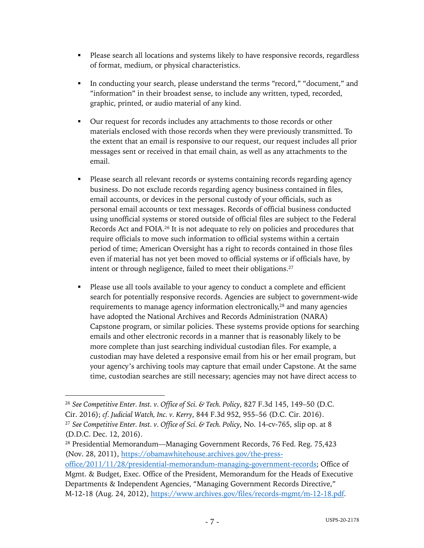- § Please search all locations and systems likely to have responsive records, regardless of format, medium, or physical characteristics.
- § In conducting your search, please understand the terms "record," "document," and "information" in their broadest sense, to include any written, typed, recorded, graphic, printed, or audio material of any kind.
- § Our request for records includes any attachments to those records or other materials enclosed with those records when they were previously transmitted. To the extent that an email is responsive to our request, our request includes all prior messages sent or received in that email chain, as well as any attachments to the email.
- Please search all relevant records or systems containing records regarding agency business. Do not exclude records regarding agency business contained in files, email accounts, or devices in the personal custody of your officials, such as personal email accounts or text messages. Records of official business conducted using unofficial systems or stored outside of official files are subject to the Federal Records Act and FOIA.26 It is not adequate to rely on policies and procedures that require officials to move such information to official systems within a certain period of time; American Oversight has a right to records contained in those files even if material has not yet been moved to official systems or if officials have, by intent or through negligence, failed to meet their obligations.27
- Please use all tools available to your agency to conduct a complete and efficient search for potentially responsive records. Agencies are subject to government-wide requirements to manage agency information electronically,<sup>28</sup> and many agencies have adopted the National Archives and Records Administration (NARA) Capstone program, or similar policies. These systems provide options for searching emails and other electronic records in a manner that is reasonably likely to be more complete than just searching individual custodian files. For example, a custodian may have deleted a responsive email from his or her email program, but your agency's archiving tools may capture that email under Capstone. At the same time, custodian searches are still necessary; agencies may not have direct access to

<sup>26</sup> *See Competitive Enter. Inst. v. Office of Sci. & Tech. Policy*, 827 F.3d 145, 149–50 (D.C. Cir. 2016); *cf. Judicial Watch, Inc. v. Kerry*, 844 F.3d 952, 955–56 (D.C. Cir. 2016). <sup>27</sup> *See Competitive Enter. Inst. v. Office of Sci. & Tech. Policy*, No. 14-cv-765, slip op. at 8 (D.D.C. Dec. 12, 2016).

<sup>28</sup> Presidential Memorandum—Managing Government Records, 76 Fed. Reg. 75,423 (Nov. 28, 2011), https://obamawhitehouse.archives.gov/the-press-

office/2011/11/28/presidential-memorandum-managing-government-records; Office of Mgmt. & Budget, Exec. Office of the President, Memorandum for the Heads of Executive Departments & Independent Agencies, "Managing Government Records Directive," M-12-18 (Aug. 24, 2012), https://www.archives.gov/files/records-mgmt/m-12-18.pdf.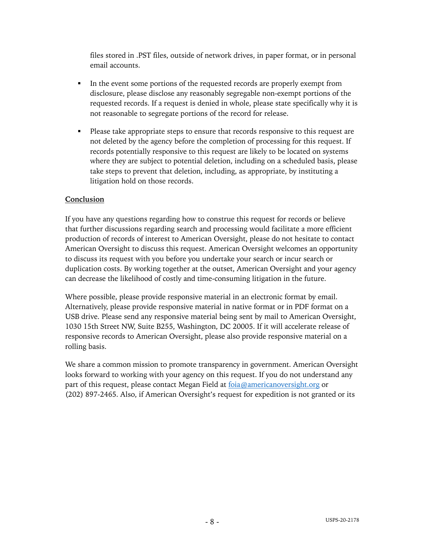files stored in .PST files, outside of network drives, in paper format, or in personal email accounts.

- In the event some portions of the requested records are properly exempt from disclosure, please disclose any reasonably segregable non-exempt portions of the requested records. If a request is denied in whole, please state specifically why it is not reasonable to segregate portions of the record for release.
- Please take appropriate steps to ensure that records responsive to this request are not deleted by the agency before the completion of processing for this request. If records potentially responsive to this request are likely to be located on systems where they are subject to potential deletion, including on a scheduled basis, please take steps to prevent that deletion, including, as appropriate, by instituting a litigation hold on those records.

# **Conclusion**

If you have any questions regarding how to construe this request for records or believe that further discussions regarding search and processing would facilitate a more efficient production of records of interest to American Oversight, please do not hesitate to contact American Oversight to discuss this request. American Oversight welcomes an opportunity to discuss its request with you before you undertake your search or incur search or duplication costs. By working together at the outset, American Oversight and your agency can decrease the likelihood of costly and time-consuming litigation in the future.

Where possible, please provide responsive material in an electronic format by email. Alternatively, please provide responsive material in native format or in PDF format on a USB drive. Please send any responsive material being sent by mail to American Oversight, 1030 15th Street NW, Suite B255, Washington, DC 20005. If it will accelerate release of responsive records to American Oversight, please also provide responsive material on a rolling basis.

We share a common mission to promote transparency in government. American Oversight looks forward to working with your agency on this request. If you do not understand any part of this request, please contact Megan Field at foia@americanoversight.org or (202) 897-2465. Also, if American Oversight's request for expedition is not granted or its